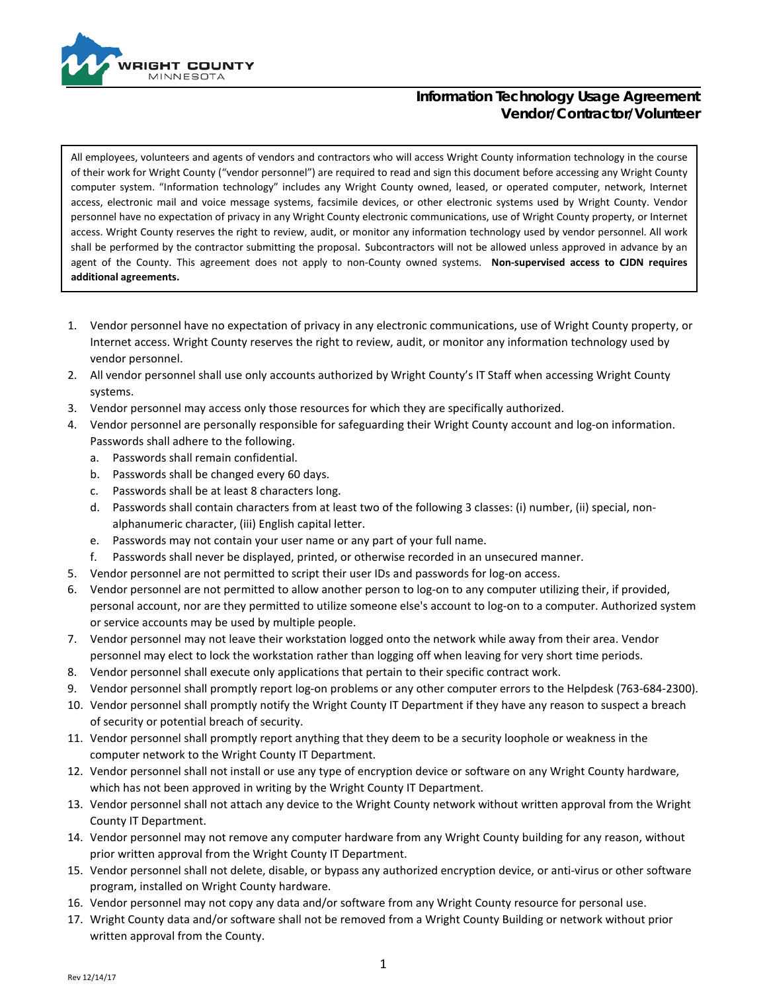

All employees, volunteers and agents of vendors and contractors who will access Wright County information technology in the course of their work for Wright County ("vendor personnel") are required to read and sign this document before accessing any Wright County computer system. "Information technology" includes any Wright County owned, leased, or operated computer, network, Internet access, electronic mail and voice message systems, facsimile devices, or other electronic systems used by Wright County. Vendor personnel have no expectation of privacy in any Wright County electronic communications, use of Wright County property, or Internet access. Wright County reserves the right to review, audit, or monitor any information technology used by vendor personnel. All work shall be performed by the contractor submitting the proposal. Subcontractors will not be allowed unless approved in advance by an agent of the County. This agreement does not apply to non-County owned systems. **Non-supervised access to CJDN requires additional agreements.**

- 1. Vendor personnel have no expectation of privacy in any electronic communications, use of Wright County property, or Internet access. Wright County reserves the right to review, audit, or monitor any information technology used by vendor personnel.
- 2. All vendor personnel shall use only accounts authorized by Wright County's IT Staff when accessing Wright County systems.
- 3. Vendor personnel may access only those resources for which they are specifically authorized.
- 4. Vendor personnel are personally responsible for safeguarding their Wright County account and log-on information. Passwords shall adhere to the following.
	- a. Passwords shall remain confidential.
	- b. Passwords shall be changed every 60 days.
	- c. Passwords shall be at least 8 characters long.
	- d. Passwords shall contain characters from at least two of the following 3 classes: (i) number, (ii) special, nonalphanumeric character, (iii) English capital letter.
	- e. Passwords may not contain your user name or any part of your full name.
	- f. Passwords shall never be displayed, printed, or otherwise recorded in an unsecured manner.
- 5. Vendor personnel are not permitted to script their user IDs and passwords for log-on access.
- 6. Vendor personnel are not permitted to allow another person to log-on to any computer utilizing their, if provided, personal account, nor are they permitted to utilize someone else's account to log-on to a computer. Authorized system or service accounts may be used by multiple people.
- 7. Vendor personnel may not leave their workstation logged onto the network while away from their area. Vendor personnel may elect to lock the workstation rather than logging off when leaving for very short time periods.
- 8. Vendor personnel shall execute only applications that pertain to their specific contract work.
- 9. Vendor personnel shall promptly report log-on problems or any other computer errors to the Helpdesk (763-684-2300).
- 10. Vendor personnel shall promptly notify the Wright County IT Department if they have any reason to suspect a breach of security or potential breach of security.
- 11. Vendor personnel shall promptly report anything that they deem to be a security loophole or weakness in the computer network to the Wright County IT Department.
- 12. Vendor personnel shall not install or use any type of encryption device or software on any Wright County hardware, which has not been approved in writing by the Wright County IT Department.
- 13. Vendor personnel shall not attach any device to the Wright County network without written approval from the Wright County IT Department.
- 14. Vendor personnel may not remove any computer hardware from any Wright County building for any reason, without prior written approval from the Wright County IT Department.
- 15. Vendor personnel shall not delete, disable, or bypass any authorized encryption device, or anti-virus or other software program, installed on Wright County hardware.
- 16. Vendor personnel may not copy any data and/or software from any Wright County resource for personal use.
- 17. Wright County data and/or software shall not be removed from a Wright County Building or network without prior written approval from the County.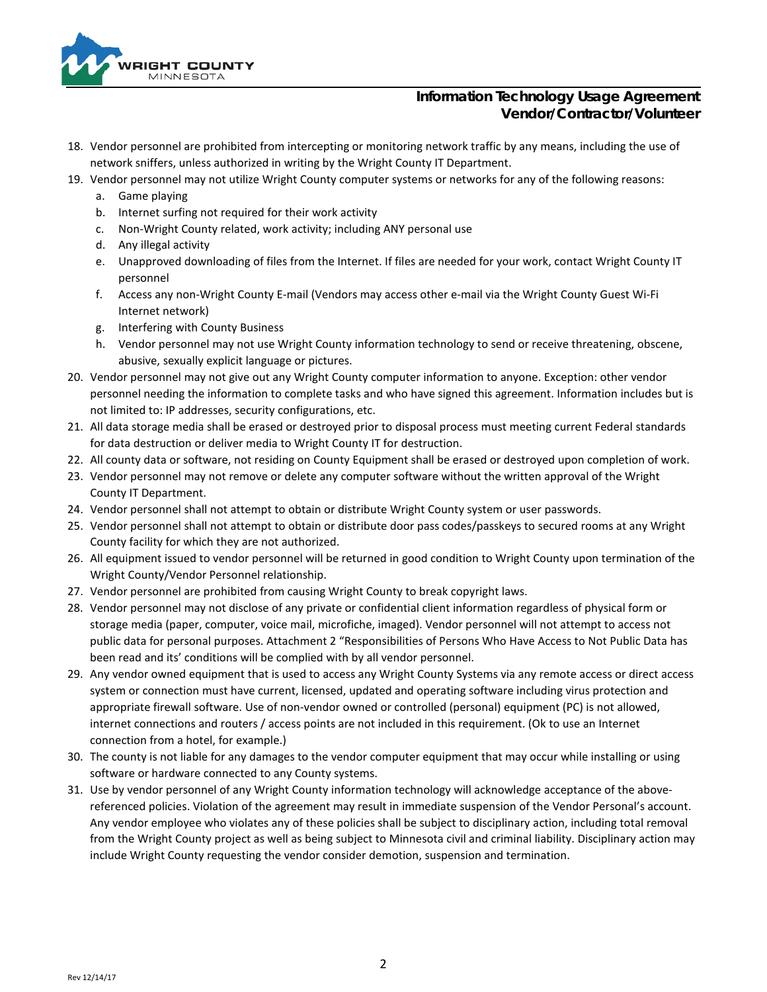

- 18. Vendor personnel are prohibited from intercepting or monitoring network traffic by any means, including the use of network sniffers, unless authorized in writing by the Wright County IT Department.
- 19. Vendor personnel may not utilize Wright County computer systems or networks for any of the following reasons:
	- a. Game playing
	- b. Internet surfing not required for their work activity
	- c. Non-Wright County related, work activity; including ANY personal use
	- d. Any illegal activity
	- e. Unapproved downloading of files from the Internet. If files are needed for your work, contact Wright County IT personnel
	- f. Access any non-Wright County E-mail (Vendors may access other e-mail via the Wright County Guest Wi-Fi Internet network)
	- g. Interfering with County Business
	- h. Vendor personnel may not use Wright County information technology to send or receive threatening, obscene, abusive, sexually explicit language or pictures.
- 20. Vendor personnel may not give out any Wright County computer information to anyone. Exception: other vendor personnel needing the information to complete tasks and who have signed this agreement. Information includes but is not limited to: IP addresses, security configurations, etc.
- 21. All data storage media shall be erased or destroyed prior to disposal process must meeting current Federal standards for data destruction or deliver media to Wright County IT for destruction.
- 22. All county data or software, not residing on County Equipment shall be erased or destroyed upon completion of work.
- 23. Vendor personnel may not remove or delete any computer software without the written approval of the Wright County IT Department.
- 24. Vendor personnel shall not attempt to obtain or distribute Wright County system or user passwords.
- 25. Vendor personnel shall not attempt to obtain or distribute door pass codes/passkeys to secured rooms at any Wright County facility for which they are not authorized.
- 26. All equipment issued to vendor personnel will be returned in good condition to Wright County upon termination of the Wright County/Vendor Personnel relationship.
- 27. Vendor personnel are prohibited from causing Wright County to break copyright laws.
- 28. Vendor personnel may not disclose of any private or confidential client information regardless of physical form or storage media (paper, computer, voice mail, microfiche, imaged). Vendor personnel will not attempt to access not public data for personal purposes. Attachment 2 "Responsibilities of Persons Who Have Access to Not Public Data has been read and its' conditions will be complied with by all vendor personnel.
- 29. Any vendor owned equipment that is used to access any Wright County Systems via any remote access or direct access system or connection must have current, licensed, updated and operating software including virus protection and appropriate firewall software. Use of non-vendor owned or controlled (personal) equipment (PC) is not allowed, internet connections and routers / access points are not included in this requirement. (Ok to use an Internet connection from a hotel, for example.)
- 30. The county is not liable for any damages to the vendor computer equipment that may occur while installing or using software or hardware connected to any County systems.
- 31. Use by vendor personnel of any Wright County information technology will acknowledge acceptance of the abovereferenced policies. Violation of the agreement may result in immediate suspension of the Vendor Personal's account. Any vendor employee who violates any of these policies shall be subject to disciplinary action, including total removal from the Wright County project as well as being subject to Minnesota civil and criminal liability. Disciplinary action may include Wright County requesting the vendor consider demotion, suspension and termination.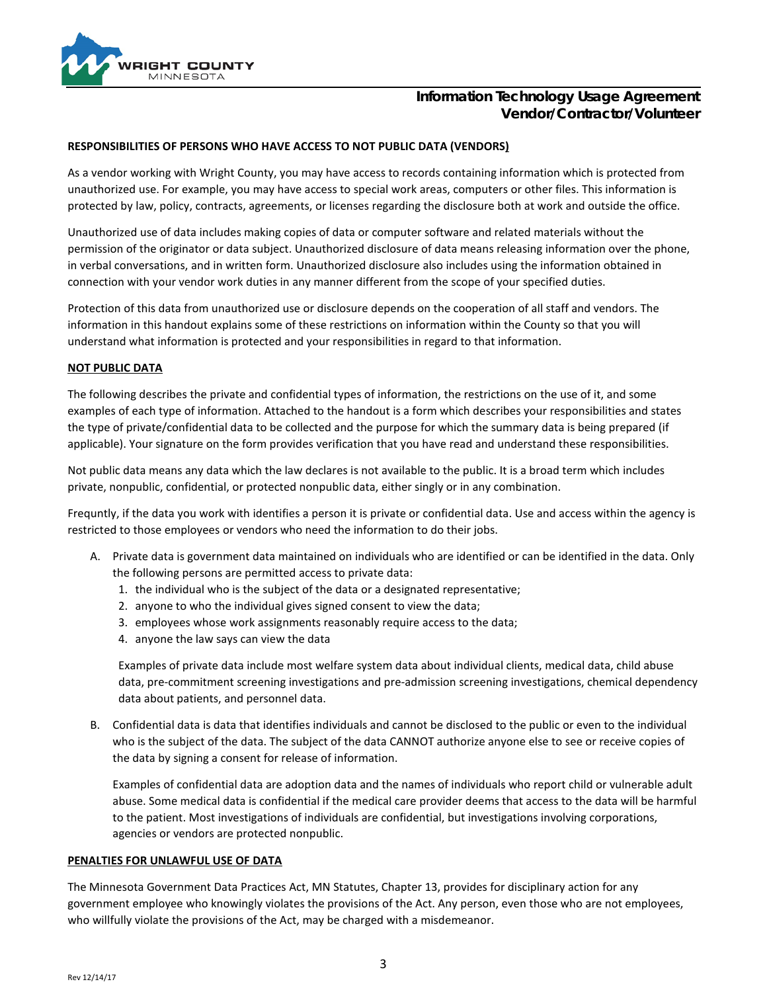

### **RESPONSIBILITIES OF PERSONS WHO HAVE ACCESS TO NOT PUBLIC DATA (VENDORS)**

As a vendor working with Wright County, you may have access to records containing information which is protected from unauthorized use. For example, you may have access to special work areas, computers or other files. This information is protected by law, policy, contracts, agreements, or licenses regarding the disclosure both at work and outside the office.

Unauthorized use of data includes making copies of data or computer software and related materials without the permission of the originator or data subject. Unauthorized disclosure of data means releasing information over the phone, in verbal conversations, and in written form. Unauthorized disclosure also includes using the information obtained in connection with your vendor work duties in any manner different from the scope of your specified duties.

Protection of this data from unauthorized use or disclosure depends on the cooperation of all staff and vendors. The information in this handout explains some of these restrictions on information within the County so that you will understand what information is protected and your responsibilities in regard to that information.

#### **NOT PUBLIC DATA**

The following describes the private and confidential types of information, the restrictions on the use of it, and some examples of each type of information. Attached to the handout is a form which describes your responsibilities and states the type of private/confidential data to be collected and the purpose for which the summary data is being prepared (if applicable). Your signature on the form provides verification that you have read and understand these responsibilities.

Not public data means any data which the law declares is not available to the public. It is a broad term which includes private, nonpublic, confidential, or protected nonpublic data, either singly or in any combination.

Frequntly, if the data you work with identifies a person it is private or confidential data. Use and access within the agency is restricted to those employees or vendors who need the information to do their jobs.

- A. Private data is government data maintained on individuals who are identified or can be identified in the data. Only the following persons are permitted access to private data:
	- 1. the individual who is the subject of the data or a designated representative;
	- 2. anyone to who the individual gives signed consent to view the data;
	- 3. employees whose work assignments reasonably require access to the data;
	- 4. anyone the law says can view the data

Examples of private data include most welfare system data about individual clients, medical data, child abuse data, pre-commitment screening investigations and pre-admission screening investigations, chemical dependency data about patients, and personnel data.

B. Confidential data is data that identifies individuals and cannot be disclosed to the public or even to the individual who is the subject of the data. The subject of the data CANNOT authorize anyone else to see or receive copies of the data by signing a consent for release of information.

Examples of confidential data are adoption data and the names of individuals who report child or vulnerable adult abuse. Some medical data is confidential if the medical care provider deems that access to the data will be harmful to the patient. Most investigations of individuals are confidential, but investigations involving corporations, agencies or vendors are protected nonpublic.

#### **PENALTIES FOR UNLAWFUL USE OF DATA**

The Minnesota Government Data Practices Act, MN Statutes, Chapter 13, provides for disciplinary action for any government employee who knowingly violates the provisions of the Act. Any person, even those who are not employees, who willfully violate the provisions of the Act, may be charged with a misdemeanor.